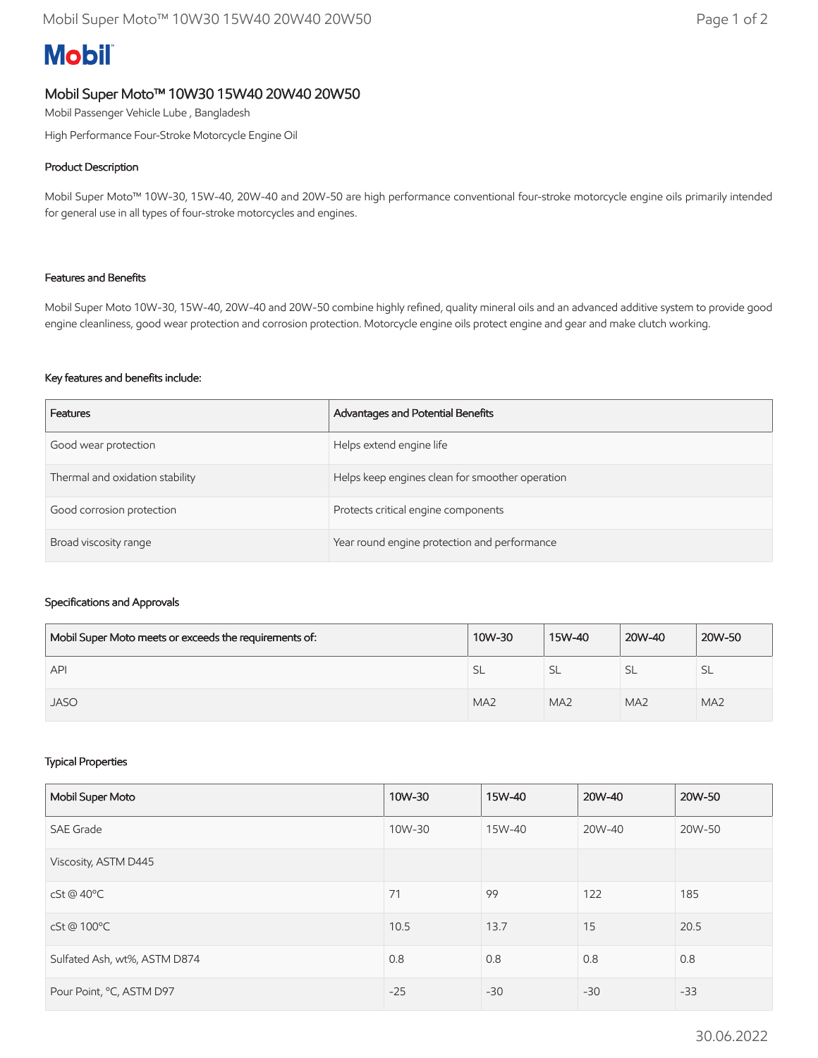# **Mobil**

## Mobil Super Moto™ 10W30 15W40 20W40 20W50

Mobil Passenger Vehicle Lube , Bangladesh

High Performance Four-Stroke Motorcycle Engine Oil

## Product Description

Mobil Super Moto™ 10W-30, 15W-40, 20W-40 and 20W-50 are high performance conventional four-stroke motorcycle engine oils primarily intended for general use in all types of four-stroke motorcycles and engines.

## Features and Benefits

Mobil Super Moto 10W-30, 15W-40, 20W-40 and 20W-50 combine highly refined, quality mineral oils and an advanced additive system to provide good engine cleanliness, good wear protection and corrosion protection. Motorcycle engine oils protect engine and gear and make clutch working.

## Key features and benefits include:

| Features                        | Advantages and Potential Benefits               |
|---------------------------------|-------------------------------------------------|
| Good wear protection            | Helps extend engine life                        |
| Thermal and oxidation stability | Helps keep engines clean for smoother operation |
| Good corrosion protection       | Protects critical engine components             |
| Broad viscosity range           | Year round engine protection and performance    |

## Specifications and Approvals

| Mobil Super Moto meets or exceeds the requirements of: | 10W-30          | 15W-40          | 20W-40          | 20W-50          |
|--------------------------------------------------------|-----------------|-----------------|-----------------|-----------------|
| API                                                    | <b>SL</b>       | <b>SL</b>       | 5L              | SL.             |
| <b>JASO</b>                                            | MA <sub>2</sub> | MA <sub>2</sub> | MA <sub>2</sub> | MA <sub>2</sub> |

## Typical Properties

| Mobil Super Moto             | 10W-30 | 15W-40 | 20W-40 | 20W-50 |
|------------------------------|--------|--------|--------|--------|
| <b>SAE Grade</b>             | 10W-30 | 15W-40 | 20W-40 | 20W-50 |
| Viscosity, ASTM D445         |        |        |        |        |
| $cSt@40^{\circ}C$            | 71     | 99     | 122    | 185    |
| cSt@100°C                    | 10.5   | 13.7   | 15     | 20.5   |
| Sulfated Ash, wt%, ASTM D874 | 0.8    | 0.8    | 0.8    | 0.8    |
| Pour Point, °C, ASTM D97     | $-25$  | $-30$  | $-30$  | $-33$  |